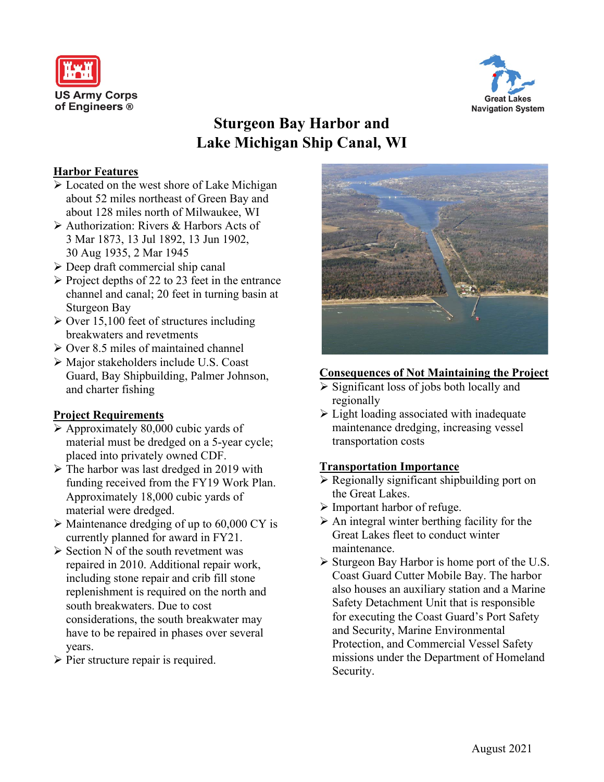



# **Sturgeon Bay Harbor and Lake Michigan Ship Canal, WI**

## **Harbor Features**

- Located on the west shore of Lake Michigan about 52 miles northeast of Green Bay and about 128 miles north of Milwaukee, WI
- Authorization: Rivers & Harbors Acts of 3 Mar 1873, 13 Jul 1892, 13 Jun 1902, 30 Aug 1935, 2 Mar 1945
- $\triangleright$  Deep draft commercial ship canal
- $\triangleright$  Project depths of 22 to 23 feet in the entrance channel and canal; 20 feet in turning basin at Sturgeon Bay
- $\geq$  Over 15,100 feet of structures including breakwaters and revetments
- $\geq$  Over 8.5 miles of maintained channel
- Major stakeholders include U.S. Coast Guard, Bay Shipbuilding, Palmer Johnson, and charter fishing

# **Project Requirements**

- $\triangleright$  Approximately 80,000 cubic yards of material must be dredged on a 5-year cycle; placed into privately owned CDF.
- $\triangleright$  The harbor was last dredged in 2019 with funding received from the FY19 Work Plan. Approximately 18,000 cubic yards of material were dredged.
- $\triangleright$  Maintenance dredging of up to 60,000 CY is currently planned for award in FY21.
- $\triangleright$  Section N of the south revetment was repaired in 2010. Additional repair work, including stone repair and crib fill stone replenishment is required on the north and south breakwaters. Due to cost considerations, the south breakwater may have to be repaired in phases over several years.
- $\triangleright$  Pier structure repair is required.



#### **Consequences of Not Maintaining the Project**

- $\triangleright$  Significant loss of jobs both locally and regionally
- $\triangleright$  Light loading associated with inadequate maintenance dredging, increasing vessel transportation costs

# **Transportation Importance**

- Regionally significant shipbuilding port on the Great Lakes.
- $\triangleright$  Important harbor of refuge.
- $\triangleright$  An integral winter berthing facility for the Great Lakes fleet to conduct winter maintenance.
- $\triangleright$  Sturgeon Bay Harbor is home port of the U.S. Coast Guard Cutter Mobile Bay. The harbor also houses an auxiliary station and a Marine Safety Detachment Unit that is responsible for executing the Coast Guard's Port Safety and Security, Marine Environmental Protection, and Commercial Vessel Safety missions under the Department of Homeland Security.